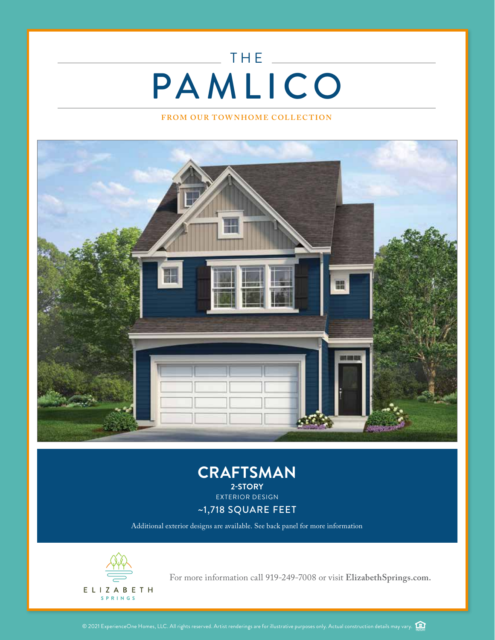## THE  $\_\_$  $\label{eq:2.1} \frac{1}{\sqrt{2}}\left(\frac{1}{\sqrt{2}}\right)^{2} \left(\frac{1}{\sqrt{2}}\right)^{2} \left(\frac{1}{\sqrt{2}}\right)^{2} \left(\frac{1}{\sqrt{2}}\right)^{2} \left(\frac{1}{\sqrt{2}}\right)^{2} \left(\frac{1}{\sqrt{2}}\right)^{2} \left(\frac{1}{\sqrt{2}}\right)^{2} \left(\frac{1}{\sqrt{2}}\right)^{2} \left(\frac{1}{\sqrt{2}}\right)^{2} \left(\frac{1}{\sqrt{2}}\right)^{2} \left(\frac{1}{\sqrt{2}}\right)^{2} \left(\$ PAMLICO

## **FROM OUR TOWNHOME COLLECTION**





Additional exterior designs are available. See back panel for more information



For more information call 919-249-7008 or visit ElizabethSprings.com.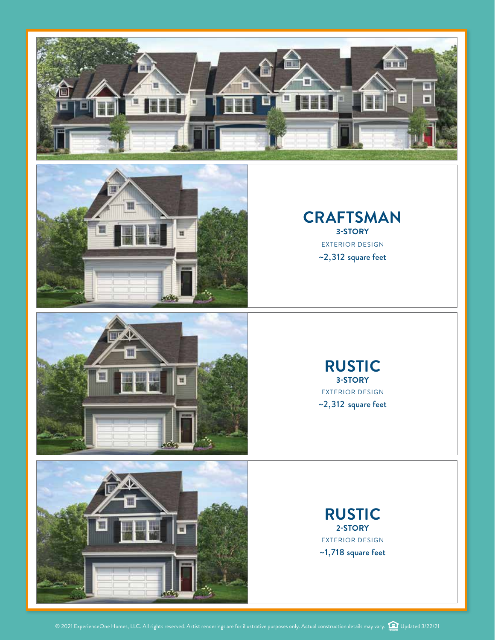



## **CRAFTSMAN 3-STORY** EXTERIOR DESIGN ~2,312 square feet





**RUSTIC 3-STORY** EXTERIOR DESIGN ~2,312 square feet

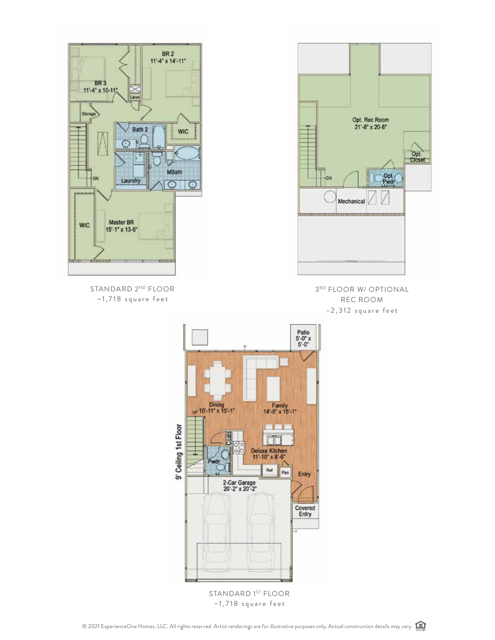



Linen

BR 3<br>11'-4" x 10-11"

Storeg

 $BR$  2<br>11'-4" x 14'-11"

STANDARD 2ND FLOOR  $~1,718$  square feet

3RD FLOOR W/ OPTIONAL REC ROOM  $~2$ , 312 square feet